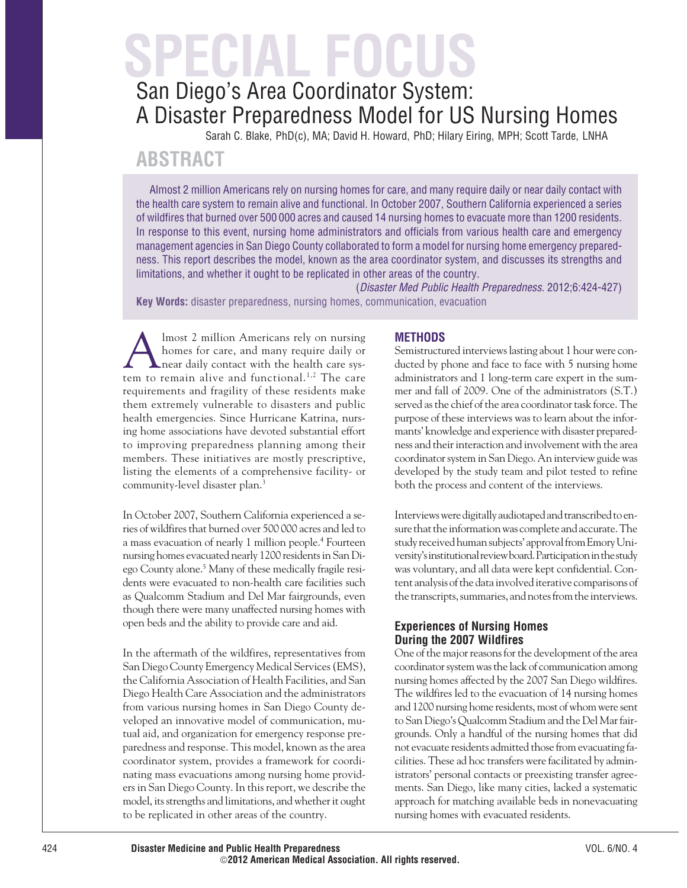# **SPECIAL FOCUS**

## San Diego's Area Coordinator System: A Disaster Preparedness Model for US Nursing Homes

Sarah C. Blake, PhD(c), MA; David H. Howard, PhD; Hilary Eiring, MPH; Scott Tarde, LNHA

### **ABSTRACT**

Almost 2 million Americans rely on nursing homes for care, and many require daily or near daily contact with the health care system to remain alive and functional. In October 2007, Southern California experienced a series of wildfires that burned over 500 000 acres and caused 14 nursing homes to evacuate more than 1200 residents. In response to this event, nursing home administrators and officials from various health care and emergency management agencies in San Diego County collaborated to form a model for nursing home emergency preparedness. This report describes the model, known as the area coordinator system, and discusses its strengths and limitations, and whether it ought to be replicated in other areas of the country.

(*Disaster Med Public Health Preparedness.* 2012;6:424-427) **Key Words:** disaster preparedness, nursing homes, communication, evacuation

Almost 2 million Americans rely on nursing<br>homes for care, and many require daily or<br>near daily contact with the health care sys-<br>tem to remain alive and functional  $^{1,2}$ . The care homes for care, and many require daily or near daily contact with the health care system to remain alive and functional.<sup>1,2</sup> The care requirements and fragility of these residents make them extremely vulnerable to disasters and public health emergencies. Since Hurricane Katrina, nursing home associations have devoted substantial effort to improving preparedness planning among their members. These initiatives are mostly prescriptive, listing the elements of a comprehensive facility- or community-level disaster plan.<sup>3</sup>

In October 2007, Southern California experienced a series of wildfires that burned over 500 000 acres and led to a mass evacuation of nearly 1 million people.4 Fourteen nursing homes evacuated nearly 1200 residents in San Diego County alone.5 Many of these medically fragile residents were evacuated to non-health care facilities such as Qualcomm Stadium and Del Mar fairgrounds, even though there were many unaffected nursing homes with open beds and the ability to provide care and aid.

In the aftermath of the wildfires, representatives from San Diego County Emergency Medical Services (EMS), the California Association of Health Facilities, and San Diego Health Care Association and the administrators from various nursing homes in San Diego County developed an innovative model of communication, mutual aid, and organization for emergency response preparedness and response. This model, known as the area coordinator system, provides a framework for coordinating mass evacuations among nursing home providers in San Diego County. In this report, we describe the model, its strengths and limitations, and whether it ought to be replicated in other areas of the country.

#### **METHODS**

Semistructured interviews lasting about 1 hour were conducted by phone and face to face with 5 nursing home administrators and 1 long-term care expert in the summer and fall of 2009. One of the administrators (S.T.) served as the chief of the area coordinator task force. The purpose of these interviews was to learn about the informants' knowledge and experience with disaster preparedness and their interaction and involvement with the area coordinator system in San Diego. An interview guide was developed by the study team and pilot tested to refine both the process and content of the interviews.

Interviewswere digitallyaudiotapedand transcribed toensure that the information was complete and accurate. The study received human subjects' approvalfrom EmoryUniversity'sinstitutionalreviewboard.Participationinthestudy was voluntary, and all data were kept confidential. Content analysis of the data involved iterative comparisons of the transcripts, summaries, and notes from the interviews.

#### **Experiences of Nursing Homes During the 2007 Wildfires**

One of the major reasons for the development of the area coordinator system was the lack of communication among nursing homes affected by the 2007 San Diego wildfires. The wildfires led to the evacuation of 14 nursing homes and 1200 nursing home residents, most of whom were sent to San Diego's Qualcomm Stadium and the Del Mar fairgrounds. Only a handful of the nursing homes that did not evacuate residents admitted those from evacuating facilities. These ad hoc transfers were facilitated by administrators' personal contacts or preexisting transfer agreements. San Diego, like many cities, lacked a systematic approach for matching available beds in nonevacuating nursing homes with evacuated residents.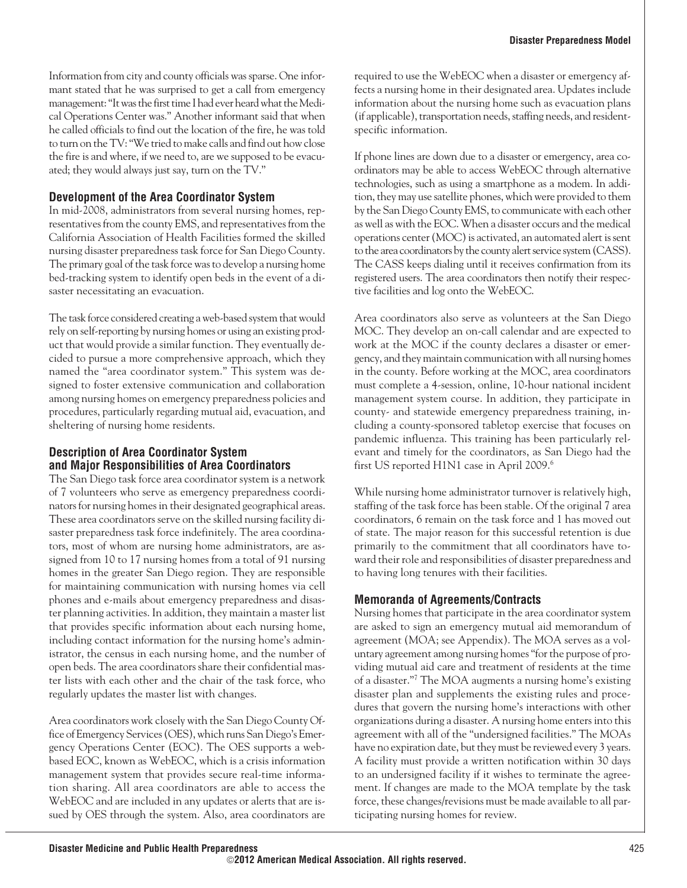Information from city and county officials was sparse. One informant stated that he was surprised to get a call from emergency management: "It was the first time I had ever heard what the Medical Operations Center was." Another informant said that when he called officials to find out the location of the fire, he was told to turn on the TV: "We tried to make calls and find out how close the fire is and where, if we need to, are we supposed to be evacuated; they would always just say, turn on the TV."

#### **Development of the Area Coordinator System**

In mid-2008, administrators from several nursing homes, representatives from the county EMS, and representatives from the California Association of Health Facilities formed the skilled nursing disaster preparedness task force for San Diego County. The primary goal of the task force was to develop a nursing home bed-tracking system to identify open beds in the event of a disaster necessitating an evacuation.

The task force considered creating a web-based system that would rely on self-reporting by nursing homes or using an existing product that would provide a similar function. They eventually decided to pursue a more comprehensive approach, which they named the "area coordinator system." This system was designed to foster extensive communication and collaboration among nursing homes on emergency preparedness policies and procedures, particularly regarding mutual aid, evacuation, and sheltering of nursing home residents.

#### **Description of Area Coordinator System and Major Responsibilities of Area Coordinators**

The San Diego task force area coordinator system is a network of 7 volunteers who serve as emergency preparedness coordinators for nursing homes in their designated geographical areas. These area coordinators serve on the skilled nursing facility disaster preparedness task force indefinitely. The area coordinators, most of whom are nursing home administrators, are assigned from 10 to 17 nursing homes from a total of 91 nursing homes in the greater San Diego region. They are responsible for maintaining communication with nursing homes via cell phones and e-mails about emergency preparedness and disaster planning activities. In addition, they maintain a master list that provides specific information about each nursing home, including contact information for the nursing home's administrator, the census in each nursing home, and the number of open beds. The area coordinators share their confidential master lists with each other and the chair of the task force, who regularly updates the master list with changes.

Area coordinators work closely with the San Diego County Office of Emergency Services (OES), which runs San Diego's Emergency Operations Center (EOC). The OES supports a webbased EOC, known as WebEOC, which is a crisis information management system that provides secure real-time information sharing. All area coordinators are able to access the WebEOC and are included in any updates or alerts that are issued by OES through the system. Also, area coordinators are

required to use the WebEOC when a disaster or emergency affects a nursing home in their designated area. Updates include information about the nursing home such as evacuation plans (if applicable), transportation needs, staffing needs, and residentspecific information.

If phone lines are down due to a disaster or emergency, area coordinators may be able to access WebEOC through alternative technologies, such as using a smartphone as a modem. In addition, they may use satellite phones, which were provided to them by the San Diego County EMS, to communicate with each other as well as with the EOC. When a disaster occurs and the medical operations center (MOC) is activated, an automated alert is sent to the area coordinators by the county alert service system (CASS). The CASS keeps dialing until it receives confirmation from its registered users. The area coordinators then notify their respective facilities and log onto the WebEOC.

Area coordinators also serve as volunteers at the San Diego MOC. They develop an on-call calendar and are expected to work at the MOC if the county declares a disaster or emergency, and they maintain communication with all nursing homes in the county. Before working at the MOC, area coordinators must complete a 4-session, online, 10-hour national incident management system course. In addition, they participate in county- and statewide emergency preparedness training, including a county-sponsored tabletop exercise that focuses on pandemic influenza. This training has been particularly relevant and timely for the coordinators, as San Diego had the first US reported H1N1 case in April 2009.<sup>6</sup>

While nursing home administrator turnover is relatively high, staffing of the task force has been stable. Of the original 7 area coordinators, 6 remain on the task force and 1 has moved out of state. The major reason for this successful retention is due primarily to the commitment that all coordinators have toward their role and responsibilities of disaster preparedness and to having long tenures with their facilities.

#### **Memoranda of Agreements/Contracts**

Nursing homes that participate in the area coordinator system are asked to sign an emergency mutual aid memorandum of agreement (MOA; see Appendix). The MOA serves as a voluntary agreement among nursing homes "for the purpose of providing mutual aid care and treatment of residents at the time of a disaster."7 The MOA augments a nursing home's existing disaster plan and supplements the existing rules and procedures that govern the nursing home's interactions with other organizations during a disaster. A nursing home enters into this agreement with all of the "undersigned facilities." The MOAs have no expiration date, but they must be reviewed every 3 years. A facility must provide a written notification within 30 days to an undersigned facility if it wishes to terminate the agreement. If changes are made to the MOA template by the task force, these changes/revisions must be made available to all participating nursing homes for review.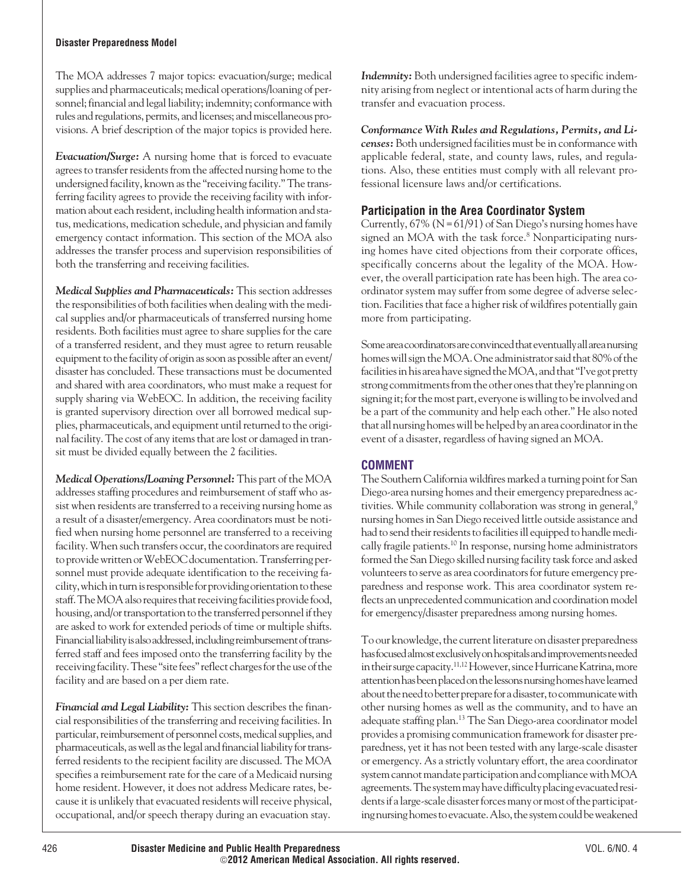#### **Disaster Preparedness Model**

The MOA addresses 7 major topics: evacuation/surge; medical supplies and pharmaceuticals; medical operations/loaning of personnel; financial and legal liability; indemnity; conformance with rules and regulations, permits, and licenses; and miscellaneous provisions. A brief description of the major topics is provided here.

*Evacuation/Surge:* A nursing home that is forced to evacuate agrees to transfer residents from the affected nursing home to the undersigned facility, known as the "receiving facility." The transferring facility agrees to provide the receiving facility with information about each resident, including health information and status, medications, medication schedule, and physician and family emergency contact information. This section of the MOA also addresses the transfer process and supervision responsibilities of both the transferring and receiving facilities.

*Medical Supplies and Pharmaceuticals:* This section addresses the responsibilities of both facilities when dealing with the medical supplies and/or pharmaceuticals of transferred nursing home residents. Both facilities must agree to share supplies for the care of a transferred resident, and they must agree to return reusable equipment to the facility of origin as soon as possible after an event/ disaster has concluded. These transactions must be documented and shared with area coordinators, who must make a request for supply sharing via WebEOC. In addition, the receiving facility is granted supervisory direction over all borrowed medical supplies, pharmaceuticals, and equipment until returned to the original facility. The cost of any items that are lost or damaged in transit must be divided equally between the 2 facilities.

*Medical Operations/Loaning Personnel:* This part of the MOA addresses staffing procedures and reimbursement of staff who assist when residents are transferred to a receiving nursing home as a result of a disaster/emergency. Area coordinators must be notified when nursing home personnel are transferred to a receiving facility.When such transfers occur, the coordinators are required to provide written or WebEOC documentation. Transferring personnel must provide adequate identification to the receiving facility, which in turn is responsible for providing orientation to these staff. The MOA also requires that receiving facilities provide food, housing, and/or transportation to the transferred personnel if they are asked to work for extended periods of time or multiple shifts. Financial liability is also addressed, including reimbursement of transferred staff and fees imposed onto the transferring facility by the receiving facility. These "site fees" reflect charges for the use of the facility and are based on a per diem rate.

*Financial and Legal Liability:* This section describes the financial responsibilities of the transferring and receiving facilities. In particular, reimbursement of personnel costs, medical supplies, and pharmaceuticals, as well as the legal and financial liability for transferred residents to the recipient facility are discussed. The MOA specifies a reimbursement rate for the care of a Medicaid nursing home resident. However, it does not address Medicare rates, because it is unlikely that evacuated residents will receive physical, occupational, and/or speech therapy during an evacuation stay.

*Indemnity:* Both undersigned facilities agree to specific indemnity arising from neglect or intentional acts of harm during the transfer and evacuation process.

*Conformance With Rules and Regulations, Permits, and Licenses:* Both undersigned facilities must be in conformance with applicable federal, state, and county laws, rules, and regulations. Also, these entities must comply with all relevant professional licensure laws and/or certifications.

#### **Participation in the Area Coordinator System**

Currently,  $67\%$  (N =  $61/91$ ) of San Diego's nursing homes have signed an MOA with the task force.<sup>8</sup> Nonparticipating nursing homes have cited objections from their corporate offices, specifically concerns about the legality of the MOA. However, the overall participation rate has been high. The area coordinator system may suffer from some degree of adverse selection. Facilities that face a higher risk of wildfires potentially gain more from participating.

Some area coordinators are convinced that eventually all area nursing homeswill sign theMOA.One administrator said that 80% of the facilitiesin his area have signed theMOA, and that "I've got pretty strong commitmentsfrom the other ones that they're planning on signing it; for the most part, everyone is willing to be involved and be a part of the community and help each other." He also noted that all nursing homes will be helped by an area coordinator in the event of a disaster, regardless of having signed an MOA.

#### **COMMENT**

The Southern California wildfires marked a turning point for San Diego-area nursing homes and their emergency preparedness activities. While community collaboration was strong in general,<sup>9</sup> nursing homes in San Diego received little outside assistance and had to send their residents to facilities ill equipped to handle medically fragile patients.10 In response, nursing home administrators formed the San Diego skilled nursing facility task force and asked volunteers to serve as area coordinators for future emergency preparedness and response work. This area coordinator system reflects an unprecedented communication and coordination model for emergency/disaster preparedness among nursing homes.

To our knowledge, the current literature on disaster preparedness hasfocusedalmostexclusivelyonhospitalsandimprovementsneeded in their surge capacity.<sup>11,12</sup> However, since Hurricane Katrina, more attentionhasbeenplacedon thelessonsnursinghomeshavelearned about the need to better prepare for a disaster, to communicate with other nursing homes as well as the community, and to have an adequate staffing plan.13 The San Diego-area coordinator model provides a promising communication framework for disaster preparedness, yet it has not been tested with any large-scale disaster or emergency. As a strictly voluntary effort, the area coordinator system cannot mandate participation and compliance with MOA agreements.The systemmayhave difficulty placingevacuated residents if a large-scale disaster forces many or most of the participating nursing homes to evacuate. Also, the system could be weakened